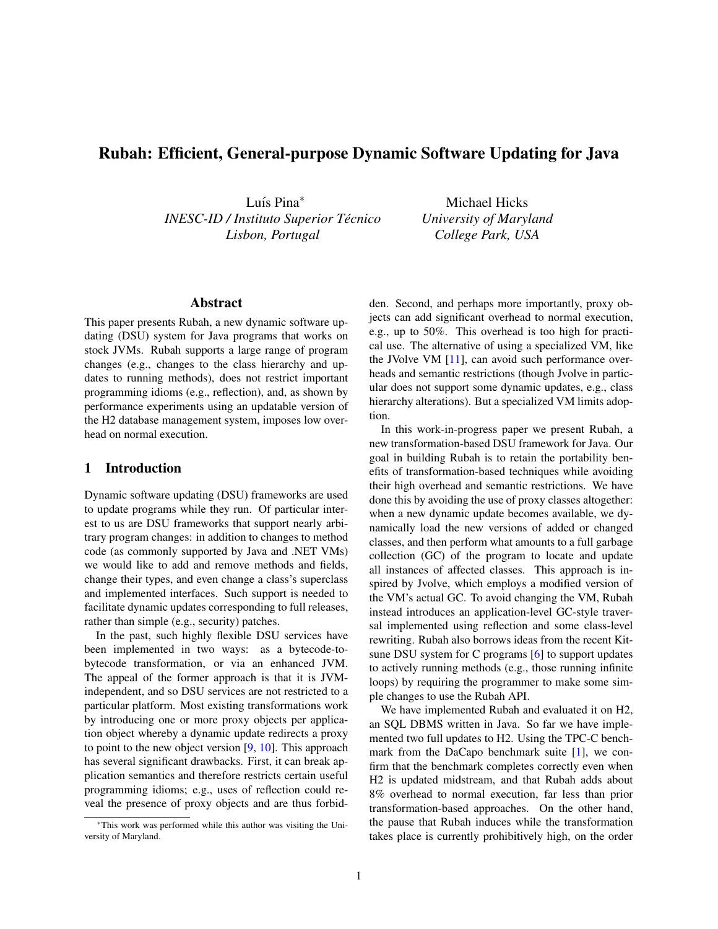# Rubah: Efficient, General-purpose Dynamic Software Updating for Java

Luís Pina<sup>\*</sup> *INESC-ID / Instituto Superior Tecnico ´ Lisbon, Portugal*

Michael Hicks *University of Maryland College Park, USA*

## Abstract

This paper presents Rubah, a new dynamic software updating (DSU) system for Java programs that works on stock JVMs. Rubah supports a large range of program changes (e.g., changes to the class hierarchy and updates to running methods), does not restrict important programming idioms (e.g., reflection), and, as shown by performance experiments using an updatable version of the H2 database management system, imposes low overhead on normal execution.

### 1 Introduction

Dynamic software updating (DSU) frameworks are used to update programs while they run. Of particular interest to us are DSU frameworks that support nearly arbitrary program changes: in addition to changes to method code (as commonly supported by Java and .NET VMs) we would like to add and remove methods and fields, change their types, and even change a class's superclass and implemented interfaces. Such support is needed to facilitate dynamic updates corresponding to full releases, rather than simple (e.g., security) patches.

In the past, such highly flexible DSU services have been implemented in two ways: as a bytecode-tobytecode transformation, or via an enhanced JVM. The appeal of the former approach is that it is JVMindependent, and so DSU services are not restricted to a particular platform. Most existing transformations work by introducing one or more proxy objects per application object whereby a dynamic update redirects a proxy to point to the new object version [\[9,](#page-5-0) [10\]](#page-5-1). This approach has several significant drawbacks. First, it can break application semantics and therefore restricts certain useful programming idioms; e.g., uses of reflection could reveal the presence of proxy objects and are thus forbidden. Second, and perhaps more importantly, proxy objects can add significant overhead to normal execution, e.g., up to 50%. This overhead is too high for practical use. The alternative of using a specialized VM, like the JVolve VM [\[11\]](#page-5-2), can avoid such performance overheads and semantic restrictions (though Jvolve in particular does not support some dynamic updates, e.g., class hierarchy alterations). But a specialized VM limits adoption.

In this work-in-progress paper we present Rubah, a new transformation-based DSU framework for Java. Our goal in building Rubah is to retain the portability benefits of transformation-based techniques while avoiding their high overhead and semantic restrictions. We have done this by avoiding the use of proxy classes altogether: when a new dynamic update becomes available, we dynamically load the new versions of added or changed classes, and then perform what amounts to a full garbage collection (GC) of the program to locate and update all instances of affected classes. This approach is inspired by Jvolve, which employs a modified version of the VM's actual GC. To avoid changing the VM, Rubah instead introduces an application-level GC-style traversal implemented using reflection and some class-level rewriting. Rubah also borrows ideas from the recent Kitsune DSU system for C programs [\[6\]](#page-5-3) to support updates to actively running methods (e.g., those running infinite loops) by requiring the programmer to make some simple changes to use the Rubah API.

We have implemented Rubah and evaluated it on H2, an SQL DBMS written in Java. So far we have implemented two full updates to H2. Using the TPC-C bench-mark from the DaCapo benchmark suite [\[1\]](#page-5-4), we confirm that the benchmark completes correctly even when H2 is updated midstream, and that Rubah adds about 8% overhead to normal execution, far less than prior transformation-based approaches. On the other hand, the pause that Rubah induces while the transformation takes place is currently prohibitively high, on the order

<sup>∗</sup>This work was performed while this author was visiting the University of Maryland.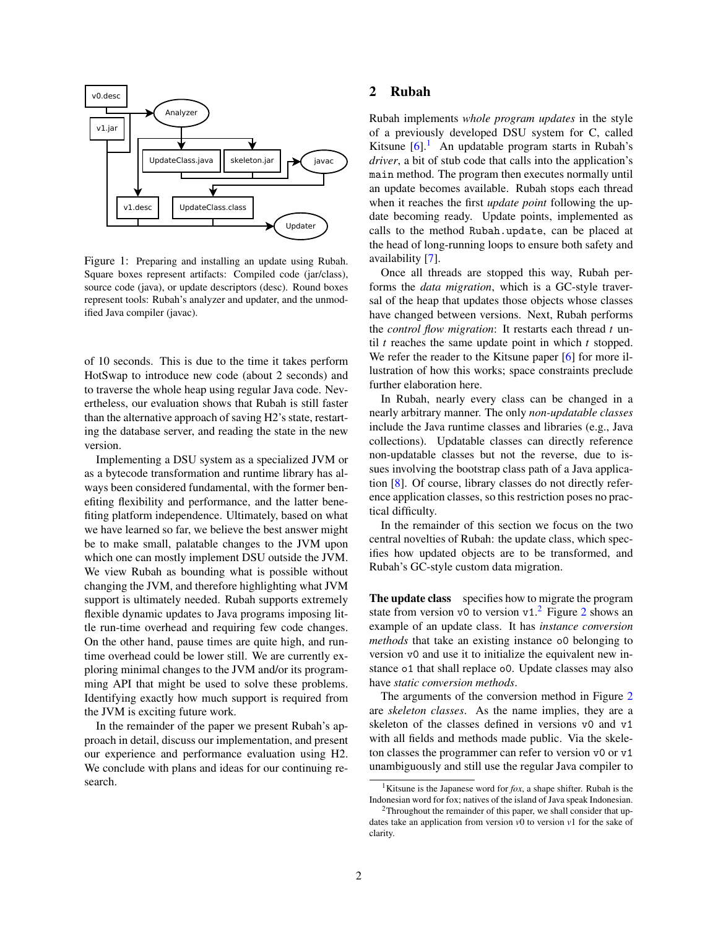

<span id="page-1-2"></span>Figure 1: Preparing and installing an update using Rubah. Square boxes represent artifacts: Compiled code (jar/class), source code (java), or update descriptors (desc). Round boxes represent tools: Rubah's analyzer and updater, and the unmodified Java compiler (javac).

of 10 seconds. This is due to the time it takes perform HotSwap to introduce new code (about 2 seconds) and to traverse the whole heap using regular Java code. Nevertheless, our evaluation shows that Rubah is still faster than the alternative approach of saving H2's state, restarting the database server, and reading the state in the new version.

Implementing a DSU system as a specialized JVM or as a bytecode transformation and runtime library has always been considered fundamental, with the former benefiting flexibility and performance, and the latter benefiting platform independence. Ultimately, based on what we have learned so far, we believe the best answer might be to make small, palatable changes to the JVM upon which one can mostly implement DSU outside the JVM. We view Rubah as bounding what is possible without changing the JVM, and therefore highlighting what JVM support is ultimately needed. Rubah supports extremely flexible dynamic updates to Java programs imposing little run-time overhead and requiring few code changes. On the other hand, pause times are quite high, and runtime overhead could be lower still. We are currently exploring minimal changes to the JVM and/or its programming API that might be used to solve these problems. Identifying exactly how much support is required from the JVM is exciting future work.

In the remainder of the paper we present Rubah's approach in detail, discuss our implementation, and present our experience and performance evaluation using H2. We conclude with plans and ideas for our continuing research.

#### <span id="page-1-3"></span>2 Rubah

Rubah implements *whole program updates* in the style of a previously developed DSU system for C, called Kitsune  $[6]$ .<sup>[1](#page-1-0)</sup> An updatable program starts in Rubah's *driver*, a bit of stub code that calls into the application's main method. The program then executes normally until an update becomes available. Rubah stops each thread when it reaches the first *update point* following the update becoming ready. Update points, implemented as calls to the method Rubah.update, can be placed at the head of long-running loops to ensure both safety and availability [\[7\]](#page-5-5).

Once all threads are stopped this way, Rubah performs the *data migration*, which is a GC-style traversal of the heap that updates those objects whose classes have changed between versions. Next, Rubah performs the *control flow migration*: It restarts each thread *t* until *t* reaches the same update point in which *t* stopped. We refer the reader to the Kitsune paper [\[6\]](#page-5-3) for more illustration of how this works; space constraints preclude further elaboration here.

In Rubah, nearly every class can be changed in a nearly arbitrary manner. The only *non-updatable classes* include the Java runtime classes and libraries (e.g., Java collections). Updatable classes can directly reference non-updatable classes but not the reverse, due to issues involving the bootstrap class path of a Java application [\[8\]](#page-5-6). Of course, library classes do not directly reference application classes, so this restriction poses no practical difficulty.

In the remainder of this section we focus on the two central novelties of Rubah: the update class, which specifies how updated objects are to be transformed, and Rubah's GC-style custom data migration.

The update class specifies how to migrate the program state from version v0 to version v1.<sup>[2](#page-2-0)</sup> Figure 2 shows an example of an update class. It has *instance conversion methods* that take an existing instance o0 belonging to version v0 and use it to initialize the equivalent new instance o1 that shall replace o0. Update classes may also have *static conversion methods*.

The arguments of the conversion method in Figure [2](#page-2-0) are *skeleton classes*. As the name implies, they are a skeleton of the classes defined in versions v0 and v1 with all fields and methods made public. Via the skeleton classes the programmer can refer to version v0 or v1 unambiguously and still use the regular Java compiler to

<span id="page-1-0"></span><sup>&</sup>lt;sup>1</sup>Kitsune is the Japanese word for  $f(x)$ , a shape shifter. Rubah is the Indonesian word for fox; natives of the island of Java speak Indonesian.

<span id="page-1-1"></span> $2$ Throughout the remainder of this paper, we shall consider that updates take an application from version *v*0 to version *v*1 for the sake of clarity.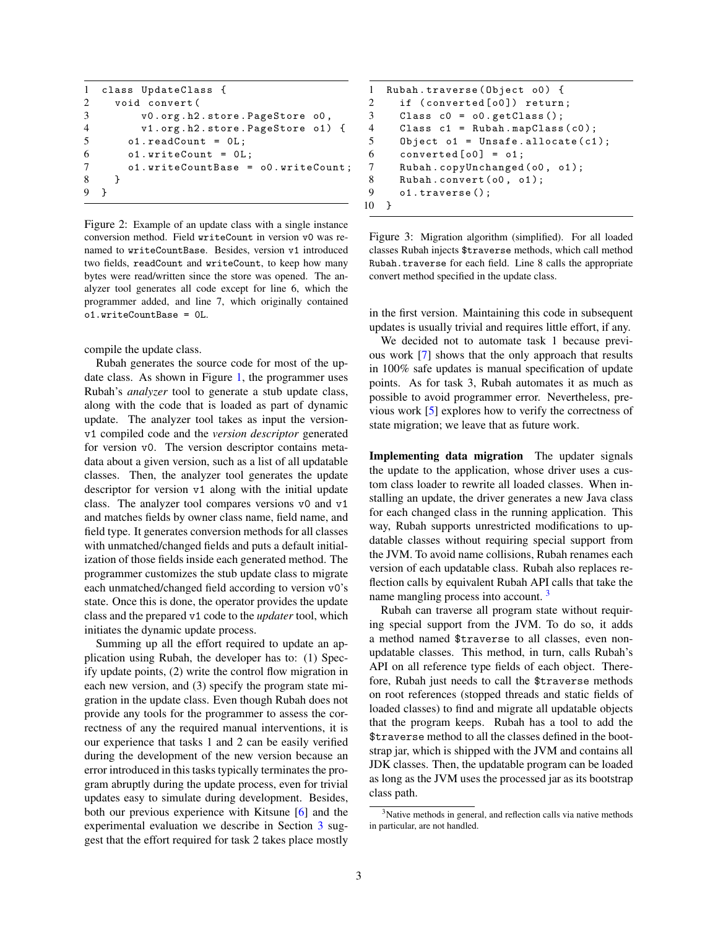```
1 class UpdateClass {
2 void convert (
3 v0 . org . h2 . store . PageStore o0 ,
4 v1 . org . h2 . store . PageStore o1 ) {
5 o1. readCount = 0L;
6 o1. writeCount = 0L;
7 o1 . writeCountBase = o0 . writeCount ;
8 }
9 }
```
<span id="page-2-0"></span>Figure 2: Example of an update class with a single instance conversion method. Field writeCount in version v0 was renamed to writeCountBase. Besides, version v1 introduced two fields, readCount and writeCount, to keep how many bytes were read/written since the store was opened. The analyzer tool generates all code except for line 6, which the programmer added, and line 7, which originally contained o1.writeCountBase = 0L.

compile the update class.

Rubah generates the source code for most of the update class. As shown in Figure [1,](#page-1-2) the programmer uses Rubah's *analyzer* tool to generate a stub update class, along with the code that is loaded as part of dynamic update. The analyzer tool takes as input the versionv1 compiled code and the *version descriptor* generated for version v0. The version descriptor contains metadata about a given version, such as a list of all updatable classes. Then, the analyzer tool generates the update descriptor for version v1 along with the initial update class. The analyzer tool compares versions v0 and v1 and matches fields by owner class name, field name, and field type. It generates conversion methods for all classes with unmatched/changed fields and puts a default initialization of those fields inside each generated method. The programmer customizes the stub update class to migrate each unmatched/changed field according to version v0's state. Once this is done, the operator provides the update class and the prepared v1 code to the *updater* tool, which initiates the dynamic update process.

Summing up all the effort required to update an application using Rubah, the developer has to: (1) Specify update points, (2) write the control flow migration in each new version, and (3) specify the program state migration in the update class. Even though Rubah does not provide any tools for the programmer to assess the correctness of any the required manual interventions, it is our experience that tasks 1 and 2 can be easily verified during the development of the new version because an error introduced in this tasks typically terminates the program abruptly during the update process, even for trivial updates easy to simulate during development. Besides, both our previous experience with Kitsune [\[6\]](#page-5-3) and the experimental evaluation we describe in Section [3](#page-3-0) suggest that the effort required for task 2 takes place mostly

```
1 Rubah.traverse (Object o0) {
2 if (converted [00]) return;
3 Class c0 = o0 . getClass ();
4 Class c1 = Rubah . mapClass ( c0 );
5 Object o1 = Unsafe.allocate(c1);6 converted [00] = 01;
7 Rubah.copyUnchanged (00, 01);
8 Rubah.convert (00, 01);
9 o1.traverse();
10 }
```
<span id="page-2-2"></span>Figure 3: Migration algorithm (simplified). For all loaded classes Rubah injects \$traverse methods, which call method Rubah.traverse for each field. Line 8 calls the appropriate convert method specified in the update class.

in the first version. Maintaining this code in subsequent updates is usually trivial and requires little effort, if any.

We decided not to automate task 1 because previous work [\[7\]](#page-5-5) shows that the only approach that results in 100% safe updates is manual specification of update points. As for task 3, Rubah automates it as much as possible to avoid programmer error. Nevertheless, previous work [\[5\]](#page-5-7) explores how to verify the correctness of state migration; we leave that as future work.

Implementing data migration The updater signals the update to the application, whose driver uses a custom class loader to rewrite all loaded classes. When installing an update, the driver generates a new Java class for each changed class in the running application. This way, Rubah supports unrestricted modifications to updatable classes without requiring special support from the JVM. To avoid name collisions, Rubah renames each version of each updatable class. Rubah also replaces reflection calls by equivalent Rubah API calls that take the name mangling process into account.  $3$ 

Rubah can traverse all program state without requiring special support from the JVM. To do so, it adds a method named \$traverse to all classes, even nonupdatable classes. This method, in turn, calls Rubah's API on all reference type fields of each object. Therefore, Rubah just needs to call the \$traverse methods on root references (stopped threads and static fields of loaded classes) to find and migrate all updatable objects that the program keeps. Rubah has a tool to add the \$traverse method to all the classes defined in the bootstrap jar, which is shipped with the JVM and contains all JDK classes. Then, the updatable program can be loaded as long as the JVM uses the processed jar as its bootstrap class path.

<span id="page-2-1"></span><sup>&</sup>lt;sup>3</sup>Native methods in general, and reflection calls via native methods in particular, are not handled.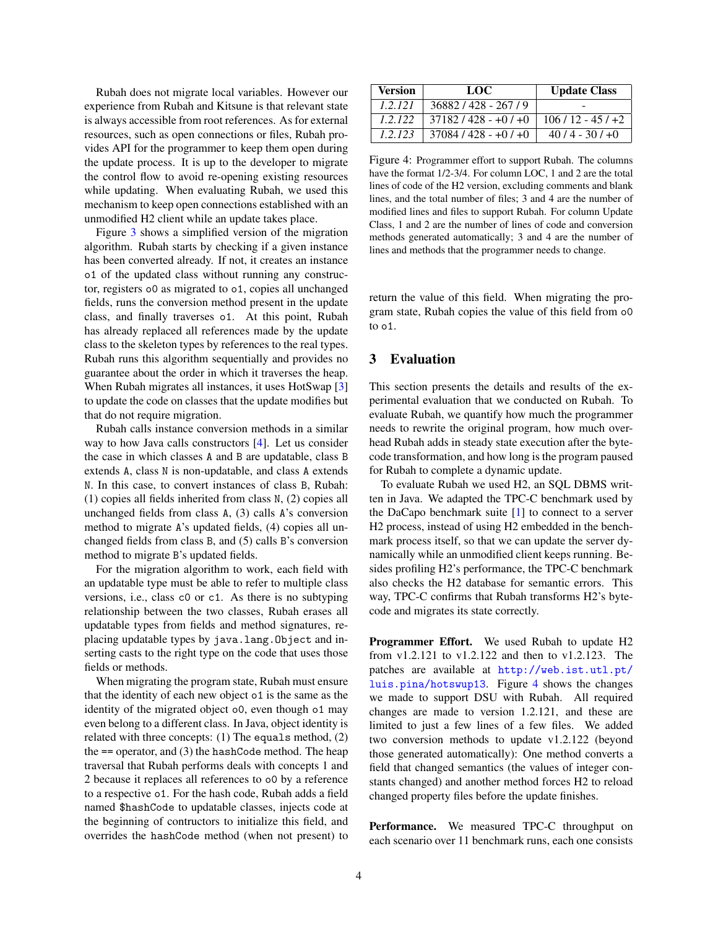Rubah does not migrate local variables. However our experience from Rubah and Kitsune is that relevant state is always accessible from root references. As for external resources, such as open connections or files, Rubah provides API for the programmer to keep them open during the update process. It is up to the developer to migrate the control flow to avoid re-opening existing resources while updating. When evaluating Rubah, we used this mechanism to keep open connections established with an unmodified H2 client while an update takes place.

Figure [3](#page-2-2) shows a simplified version of the migration algorithm. Rubah starts by checking if a given instance has been converted already. If not, it creates an instance o1 of the updated class without running any constructor, registers o0 as migrated to o1, copies all unchanged fields, runs the conversion method present in the update class, and finally traverses o1. At this point, Rubah has already replaced all references made by the update class to the skeleton types by references to the real types. Rubah runs this algorithm sequentially and provides no guarantee about the order in which it traverses the heap. When Rubah migrates all instances, it uses HotSwap [\[3\]](#page-5-8) to update the code on classes that the update modifies but that do not require migration.

Rubah calls instance conversion methods in a similar way to how Java calls constructors [\[4\]](#page-5-9). Let us consider the case in which classes A and B are updatable, class B extends A, class N is non-updatable, and class A extends N. In this case, to convert instances of class B, Rubah: (1) copies all fields inherited from class N, (2) copies all unchanged fields from class A, (3) calls A's conversion method to migrate A's updated fields, (4) copies all unchanged fields from class B, and (5) calls B's conversion method to migrate B's updated fields.

For the migration algorithm to work, each field with an updatable type must be able to refer to multiple class versions, i.e., class c0 or c1. As there is no subtyping relationship between the two classes, Rubah erases all updatable types from fields and method signatures, replacing updatable types by java.lang.Object and inserting casts to the right type on the code that uses those fields or methods.

When migrating the program state, Rubah must ensure that the identity of each new object o1 is the same as the identity of the migrated object o0, even though o1 may even belong to a different class. In Java, object identity is related with three concepts: (1) The equals method, (2) the  $==$  operator, and  $(3)$  the hashCode method. The heap traversal that Rubah performs deals with concepts 1 and 2 because it replaces all references to o0 by a reference to a respective o1. For the hash code, Rubah adds a field named \$hashCode to updatable classes, injects code at the beginning of contructors to initialize this field, and overrides the hashCode method (when not present) to

| <b>Version</b> | LOC                    | <b>Update Class</b> |
|----------------|------------------------|---------------------|
| 1.2.121        | 36882/428 - 267/9      |                     |
| 1.2.122        | $37182 / 428 - 07 + 0$ | $106/12 - 45/ +2$   |
| 1.2.123        | $37084/428 - 0.0000$   | $40/4 - 30/1 + 0$   |

<span id="page-3-1"></span>Figure 4: Programmer effort to support Rubah. The columns have the format 1/2-3/4. For column LOC, 1 and 2 are the total lines of code of the H2 version, excluding comments and blank lines, and the total number of files; 3 and 4 are the number of modified lines and files to support Rubah. For column Update Class, 1 and 2 are the number of lines of code and conversion methods generated automatically; 3 and 4 are the number of lines and methods that the programmer needs to change.

return the value of this field. When migrating the program state, Rubah copies the value of this field from o0 to o1.

#### <span id="page-3-0"></span>3 Evaluation

This section presents the details and results of the experimental evaluation that we conducted on Rubah. To evaluate Rubah, we quantify how much the programmer needs to rewrite the original program, how much overhead Rubah adds in steady state execution after the bytecode transformation, and how long is the program paused for Rubah to complete a dynamic update.

To evaluate Rubah we used H2, an SQL DBMS written in Java. We adapted the TPC-C benchmark used by the DaCapo benchmark suite [\[1\]](#page-5-4) to connect to a server H2 process, instead of using H2 embedded in the benchmark process itself, so that we can update the server dynamically while an unmodified client keeps running. Besides profiling H2's performance, the TPC-C benchmark also checks the H2 database for semantic errors. This way, TPC-C confirms that Rubah transforms H2's bytecode and migrates its state correctly.

Programmer Effort. We used Rubah to update H2 from v1.2.121 to v1.2.122 and then to v1.2.123. The patches are available at [http://web.ist.utl.pt/](http://web.ist.utl.pt/luis.pina/hotswup13) [luis.pina/hotswup13](http://web.ist.utl.pt/luis.pina/hotswup13). Figure [4](#page-3-1) shows the changes we made to support DSU with Rubah. All required changes are made to version 1.2.121, and these are limited to just a few lines of a few files. We added two conversion methods to update v1.2.122 (beyond those generated automatically): One method converts a field that changed semantics (the values of integer constants changed) and another method forces H2 to reload changed property files before the update finishes.

Performance. We measured TPC-C throughput on each scenario over 11 benchmark runs, each one consists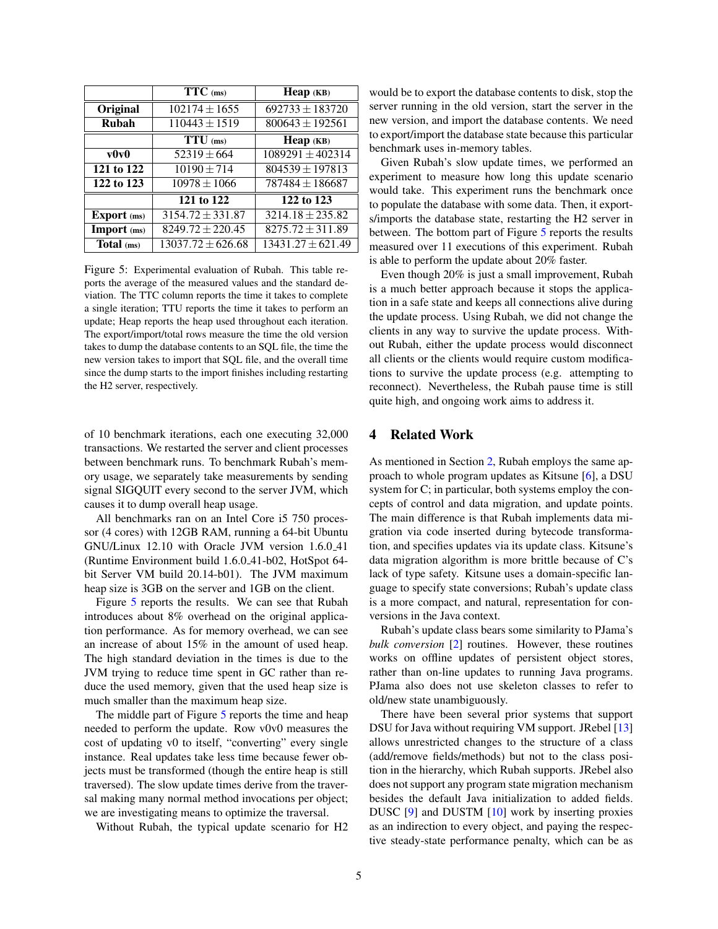|                    | $TTC$ (ms)            | Неар (КВ)             |
|--------------------|-----------------------|-----------------------|
| Original           | $102174 \pm 1655$     | $692733 \pm 183720$   |
| Rubah              | $110443 \pm 1519$     | $800643 \pm 192561$   |
|                    | TTU (ms)              | $Heap$ $(KB)$         |
| $\bf v0\bf v0$     | $52319 \pm 664$       | $1089291 \pm 402314$  |
| 121 to 122         | $10190 \pm 714$       | $804539 \pm 197813$   |
| 122 to 123         | $10978 \pm 1066$      | $787484 \pm 186687$   |
|                    | 121 to 122            | 122 to 123            |
| <b>Export</b> (ms) | $3154.72 \pm 331.87$  | $3214.18 \pm 235.82$  |
| Import (ms)        | $8249.72 \pm 220.45$  | $8275.72 \pm 311.89$  |
| Total (ms)         | $13037.72 \pm 626.68$ | $13431.27 \pm 621.49$ |

<span id="page-4-0"></span>Figure 5: Experimental evaluation of Rubah. This table reports the average of the measured values and the standard deviation. The TTC column reports the time it takes to complete a single iteration; TTU reports the time it takes to perform an update; Heap reports the heap used throughout each iteration. The export/import/total rows measure the time the old version takes to dump the database contents to an SQL file, the time the new version takes to import that SQL file, and the overall time since the dump starts to the import finishes including restarting the H2 server, respectively.

of 10 benchmark iterations, each one executing 32,000 transactions. We restarted the server and client processes between benchmark runs. To benchmark Rubah's memory usage, we separately take measurements by sending signal SIGQUIT every second to the server JVM, which causes it to dump overall heap usage.

All benchmarks ran on an Intel Core i5 750 processor (4 cores) with 12GB RAM, running a 64-bit Ubuntu GNU/Linux 12.10 with Oracle JVM version 1.6.0 41 (Runtime Environment build 1.6.0 41-b02, HotSpot 64 bit Server VM build 20.14-b01). The JVM maximum heap size is 3GB on the server and 1GB on the client.

Figure [5](#page-4-0) reports the results. We can see that Rubah introduces about 8% overhead on the original application performance. As for memory overhead, we can see an increase of about 15% in the amount of used heap. The high standard deviation in the times is due to the JVM trying to reduce time spent in GC rather than reduce the used memory, given that the used heap size is much smaller than the maximum heap size.

The middle part of Figure [5](#page-4-0) reports the time and heap needed to perform the update. Row v0v0 measures the cost of updating v0 to itself, "converting" every single instance. Real updates take less time because fewer objects must be transformed (though the entire heap is still traversed). The slow update times derive from the traversal making many normal method invocations per object; we are investigating means to optimize the traversal.

Without Rubah, the typical update scenario for H2

would be to export the database contents to disk, stop the server running in the old version, start the server in the new version, and import the database contents. We need to export/import the database state because this particular benchmark uses in-memory tables.

Given Rubah's slow update times, we performed an experiment to measure how long this update scenario would take. This experiment runs the benchmark once to populate the database with some data. Then, it exports/imports the database state, restarting the H2 server in between. The bottom part of Figure [5](#page-4-0) reports the results measured over 11 executions of this experiment. Rubah is able to perform the update about 20% faster.

Even though 20% is just a small improvement, Rubah is a much better approach because it stops the application in a safe state and keeps all connections alive during the update process. Using Rubah, we did not change the clients in any way to survive the update process. Without Rubah, either the update process would disconnect all clients or the clients would require custom modifications to survive the update process (e.g. attempting to reconnect). Nevertheless, the Rubah pause time is still quite high, and ongoing work aims to address it.

### 4 Related Work

As mentioned in Section [2,](#page-1-3) Rubah employs the same approach to whole program updates as Kitsune [\[6\]](#page-5-3), a DSU system for C; in particular, both systems employ the concepts of control and data migration, and update points. The main difference is that Rubah implements data migration via code inserted during bytecode transformation, and specifies updates via its update class. Kitsune's data migration algorithm is more brittle because of C's lack of type safety. Kitsune uses a domain-specific language to specify state conversions; Rubah's update class is a more compact, and natural, representation for conversions in the Java context.

Rubah's update class bears some similarity to PJama's *bulk conversion* [\[2\]](#page-5-10) routines. However, these routines works on offline updates of persistent object stores, rather than on-line updates to running Java programs. PJama also does not use skeleton classes to refer to old/new state unambiguously.

There have been several prior systems that support DSU for Java without requiring VM support. JRebel [\[13\]](#page-5-11) allows unrestricted changes to the structure of a class (add/remove fields/methods) but not to the class position in the hierarchy, which Rubah supports. JRebel also does not support any program state migration mechanism besides the default Java initialization to added fields. DUSC [\[9\]](#page-5-0) and DUSTM [\[10\]](#page-5-1) work by inserting proxies as an indirection to every object, and paying the respective steady-state performance penalty, which can be as